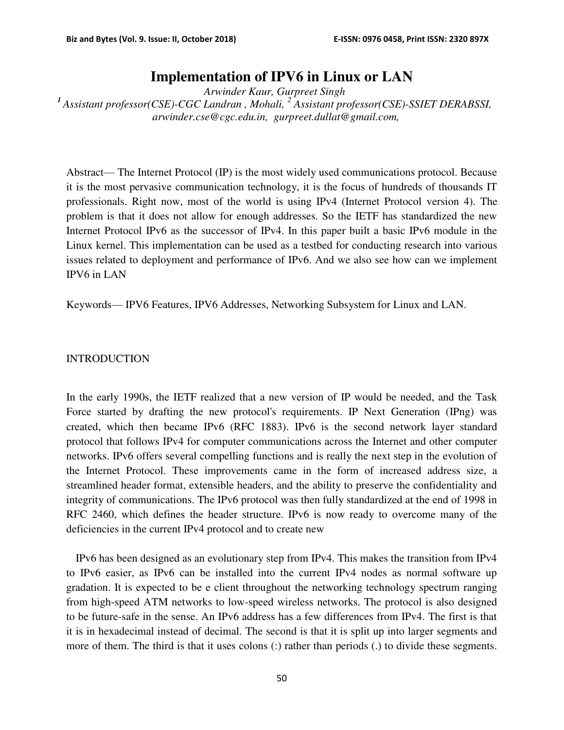# **Implementation of IPV6 in Linux or LAN**

*Arwinder Kaur, Gurpreet Singh* <sup>1</sup> Assistant professor(CSE)-CGC Landran, Mohali, <sup>2</sup> Assistant professor(CSE)-SSIET DERABSSI,  *arwinder.cse@cgc.edu.in, gurpreet.dullat@gmail.com,* 

Abstract— The Internet Protocol (IP) is the most widely used communications protocol. Because it is the most pervasive communication technology, it is the focus of hundreds of thousands IT professionals. Right now, most of the world is using IPv4 (Internet Protocol version 4). The problem is that it does not allow for enough addresses. So the IETF has standardized the new Internet Protocol IPv6 as the successor of IPv4. In this paper built a basic IPv6 module in the Linux kernel. This implementation can be used as a testbed for conducting research into various issues related to deployment and performance of IPv6. And we also see how can we implement IPV6 in LAN

Keywords— IPV6 Features, IPV6 Addresses, Networking Subsystem for Linux and LAN.

# INTRODUCTION

In the early 1990s, the IETF realized that a new version of IP would be needed, and the Task Force started by drafting the new protocol's requirements. IP Next Generation (IPng) was created, which then became IPv6 (RFC 1883). IPv6 is the second network layer standard protocol that follows IPv4 for computer communications across the Internet and other computer networks. IPv6 offers several compelling functions and is really the next step in the evolution of the Internet Protocol. These improvements came in the form of increased address size, a streamlined header format, extensible headers, and the ability to preserve the confidentiality and integrity of communications. The IPv6 protocol was then fully standardized at the end of 1998 in RFC 2460, which defines the header structure. IPv6 is now ready to overcome many of the deficiencies in the current IPv4 protocol and to create new

IPv6 has been designed as an evolutionary step from IPv4. This makes the transition from IPv4 to IPv6 easier, as IPv6 can be installed into the current IPv4 nodes as normal software up gradation. It is expected to be e client throughout the networking technology spectrum ranging from high-speed ATM networks to low-speed wireless networks. The protocol is also designed to be future-safe in the sense. An IPv6 address has a few differences from IPv4. The first is that it is in hexadecimal instead of decimal. The second is that it is split up into larger segments and more of them. The third is that it uses colons (:) rather than periods (.) to divide these segments.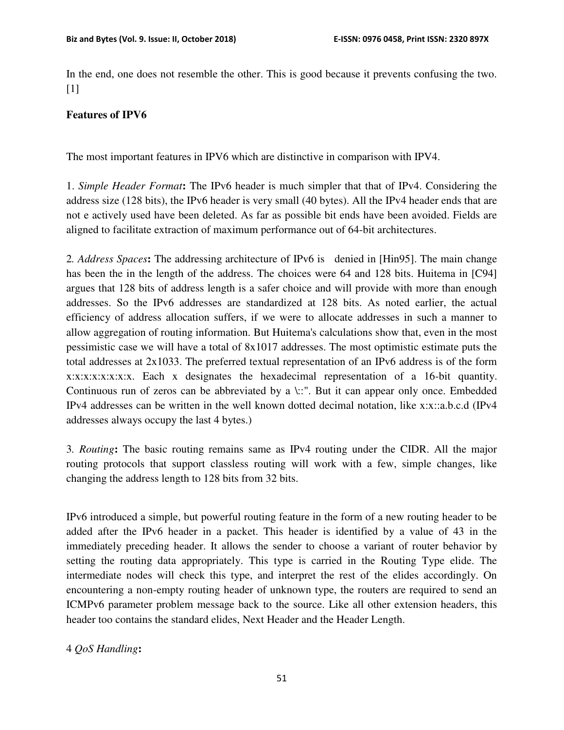In the end, one does not resemble the other. This is good because it prevents confusing the two. [1]

# **Features of IPV6**

The most important features in IPV6 which are distinctive in comparison with IPV4.

1. *Simple Header Format***:** The IPv6 header is much simpler that that of IPv4. Considering the address size (128 bits), the IPv6 header is very small (40 bytes). All the IPv4 header ends that are not e actively used have been deleted. As far as possible bit ends have been avoided. Fields are aligned to facilitate extraction of maximum performance out of 64-bit architectures.

2*. Address Spaces***:** The addressing architecture of IPv6 is denied in [Hin95]. The main change has been the in the length of the address. The choices were 64 and 128 bits. Huitema in [C94] argues that 128 bits of address length is a safer choice and will provide with more than enough addresses. So the IPv6 addresses are standardized at 128 bits. As noted earlier, the actual efficiency of address allocation suffers, if we were to allocate addresses in such a manner to allow aggregation of routing information. But Huitema's calculations show that, even in the most pessimistic case we will have a total of 8x1017 addresses. The most optimistic estimate puts the total addresses at 2x1033. The preferred textual representation of an IPv6 address is of the form x:x:x:x:x:x:x:x. Each x designates the hexadecimal representation of a 16-bit quantity. Continuous run of zeros can be abbreviated by a \::". But it can appear only once. Embedded IPv4 addresses can be written in the well known dotted decimal notation, like x:x::a.b.c.d (IPv4 addresses always occupy the last 4 bytes.)

3*. Routing***:** The basic routing remains same as IPv4 routing under the CIDR. All the major routing protocols that support classless routing will work with a few, simple changes, like changing the address length to 128 bits from 32 bits.

IPv6 introduced a simple, but powerful routing feature in the form of a new routing header to be added after the IPv6 header in a packet. This header is identified by a value of 43 in the immediately preceding header. It allows the sender to choose a variant of router behavior by setting the routing data appropriately. This type is carried in the Routing Type elide. The intermediate nodes will check this type, and interpret the rest of the elides accordingly. On encountering a non-empty routing header of unknown type, the routers are required to send an ICMPv6 parameter problem message back to the source. Like all other extension headers, this header too contains the standard elides, Next Header and the Header Length.

# 4 *QoS Handling***:**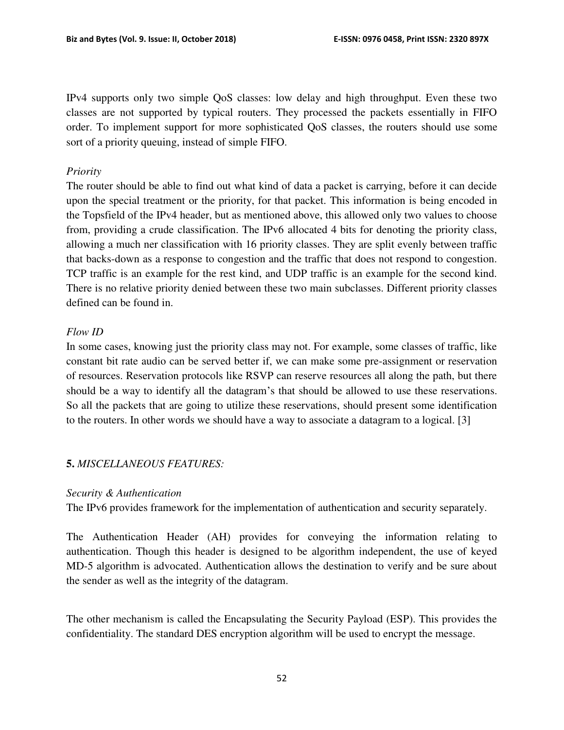IPv4 supports only two simple QoS classes: low delay and high throughput. Even these two classes are not supported by typical routers. They processed the packets essentially in FIFO order. To implement support for more sophisticated QoS classes, the routers should use some sort of a priority queuing, instead of simple FIFO.

### *Priority*

The router should be able to find out what kind of data a packet is carrying, before it can decide upon the special treatment or the priority, for that packet. This information is being encoded in the Topsfield of the IPv4 header, but as mentioned above, this allowed only two values to choose from, providing a crude classification. The IPv6 allocated 4 bits for denoting the priority class, allowing a much ner classification with 16 priority classes. They are split evenly between traffic that backs-down as a response to congestion and the traffic that does not respond to congestion. TCP traffic is an example for the rest kind, and UDP traffic is an example for the second kind. There is no relative priority denied between these two main subclasses. Different priority classes defined can be found in.

# *Flow ID*

In some cases, knowing just the priority class may not. For example, some classes of traffic, like constant bit rate audio can be served better if, we can make some pre-assignment or reservation of resources. Reservation protocols like RSVP can reserve resources all along the path, but there should be a way to identify all the datagram's that should be allowed to use these reservations. So all the packets that are going to utilize these reservations, should present some identification to the routers. In other words we should have a way to associate a datagram to a logical. [3]

# **5.** *MISCELLANEOUS FEATURES:*

#### *Security & Authentication*

The IPv6 provides framework for the implementation of authentication and security separately.

The Authentication Header (AH) provides for conveying the information relating to authentication. Though this header is designed to be algorithm independent, the use of keyed MD-5 algorithm is advocated. Authentication allows the destination to verify and be sure about the sender as well as the integrity of the datagram.

The other mechanism is called the Encapsulating the Security Payload (ESP). This provides the confidentiality. The standard DES encryption algorithm will be used to encrypt the message.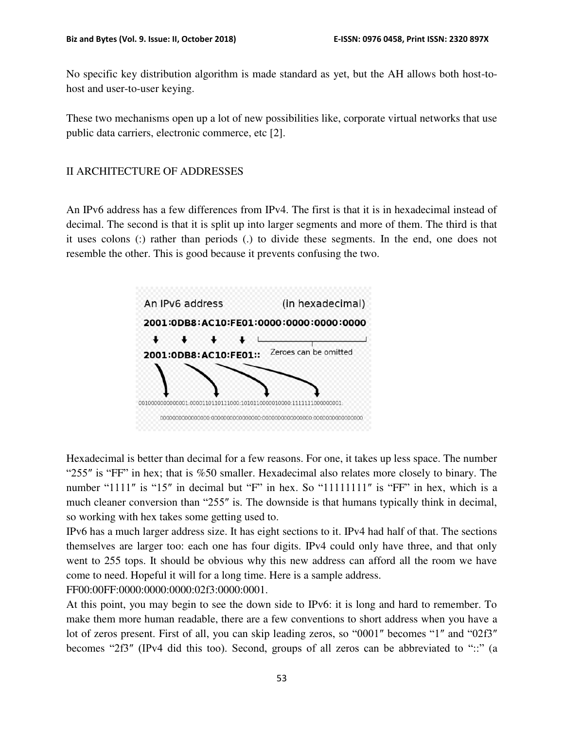No specific key distribution algorithm is made standard as yet, but the AH allows both host-tohost and user-to-user keying.

These two mechanisms open up a lot of new possibilities like, corporate virtual networks that use public data carriers, electronic commerce, etc [2].

#### II ARCHITECTURE OF ADDRESSES

An IPv6 address has a few differences from IPv4. The first is that it is in hexadecimal instead of decimal. The second is that it is split up into larger segments and more of them. The third is that it uses colons (:) rather than periods (.) to divide these segments. In the end, one does not resemble the other. This is good because it prevents confusing the two.



Hexadecimal is better than decimal for a few reasons. For one, it takes up less space. The number "255″ is "FF" in hex; that is %50 smaller. Hexadecimal also relates more closely to binary. The number "1111" is "15" in decimal but "F" in hex. So "111111111" is "FF" in hex, which is a much cleaner conversion than "255″ is. The downside is that humans typically think in decimal, so working with hex takes some getting used to.

IPv6 has a much larger address size. It has eight sections to it. IPv4 had half of that. The sections themselves are larger too: each one has four digits. IPv4 could only have three, and that only went to 255 tops. It should be obvious why this new address can afford all the room we have come to need. Hopeful it will for a long time. Here is a sample address. FF00:00FF:0000:0000:0000:02f3:0000:0001.

At this point, you may begin to see the down side to IPv6: it is long and hard to remember. To make them more human readable, there are a few conventions to short address when you have a lot of zeros present. First of all, you can skip leading zeros, so "0001″ becomes "1″ and "02f3″ becomes "2f3″ (IPv4 did this too). Second, groups of all zeros can be abbreviated to "::" (a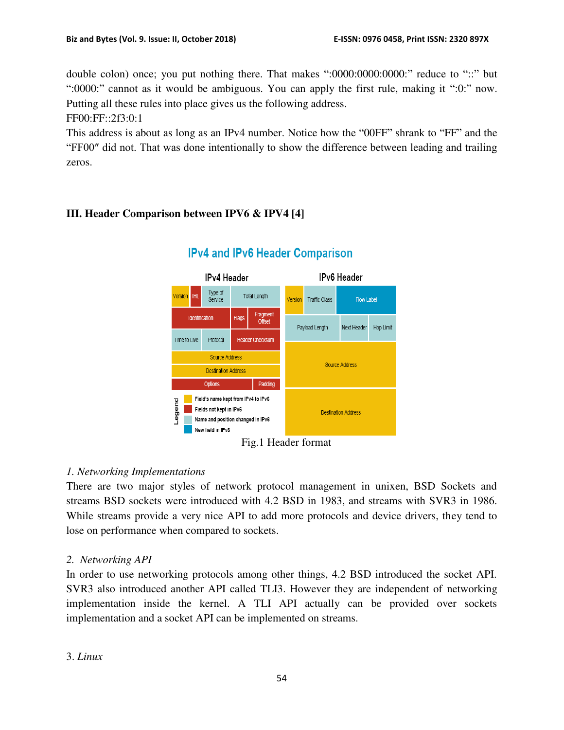double colon) once; you put nothing there. That makes ":0000:0000:0000:" reduce to "::" but ":0000:" cannot as it would be ambiguous. You can apply the first rule, making it ":0:" now. Putting all these rules into place gives us the following address.

FF00:FF::2f3:0:1

This address is about as long as an IPv4 number. Notice how the "00FF" shrank to "FF" and the "FF00″ did not. That was done intentionally to show the difference between leading and trailing zeros.

# **III. Header Comparison between IPV6 & IPV4 [4]**



# **IPv4 and IPv6 Header Comparison**

Fig.1 Header format

# *1. Networking Implementations*

There are two major styles of network protocol management in unixen, BSD Sockets and streams BSD sockets were introduced with 4.2 BSD in 1983, and streams with SVR3 in 1986. While streams provide a very nice API to add more protocols and device drivers, they tend to lose on performance when compared to sockets.

# *2. Networking API*

In order to use networking protocols among other things, 4.2 BSD introduced the socket API. SVR3 also introduced another API called TLI3. However they are independent of networking implementation inside the kernel. A TLI API actually can be provided over sockets implementation and a socket API can be implemented on streams.

# 3. *Linux*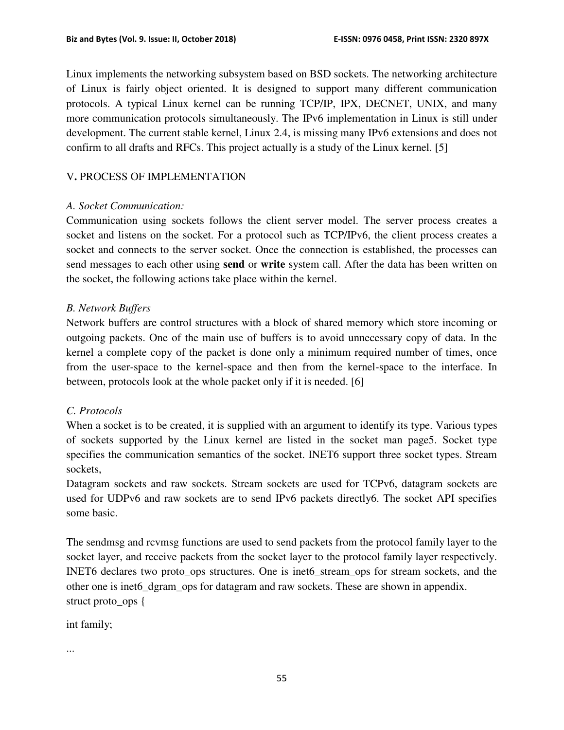Linux implements the networking subsystem based on BSD sockets. The networking architecture of Linux is fairly object oriented. It is designed to support many different communication protocols. A typical Linux kernel can be running TCP/IP, IPX, DECNET, UNIX, and many more communication protocols simultaneously. The IPv6 implementation in Linux is still under development. The current stable kernel, Linux 2.4, is missing many IPv6 extensions and does not confirm to all drafts and RFCs. This project actually is a study of the Linux kernel. [5]

# V**.** PROCESS OF IMPLEMENTATION

#### *A. Socket Communication:*

Communication using sockets follows the client server model. The server process creates a socket and listens on the socket. For a protocol such as TCP/IPv6, the client process creates a socket and connects to the server socket. Once the connection is established, the processes can send messages to each other using **send** or **write** system call. After the data has been written on the socket, the following actions take place within the kernel.

# *B. Network Buffers*

Network buffers are control structures with a block of shared memory which store incoming or outgoing packets. One of the main use of buffers is to avoid unnecessary copy of data. In the kernel a complete copy of the packet is done only a minimum required number of times, once from the user-space to the kernel-space and then from the kernel-space to the interface. In between, protocols look at the whole packet only if it is needed. [6]

# *C. Protocols*

When a socket is to be created, it is supplied with an argument to identify its type. Various types of sockets supported by the Linux kernel are listed in the socket man page5. Socket type specifies the communication semantics of the socket. INET6 support three socket types. Stream sockets,

Datagram sockets and raw sockets. Stream sockets are used for TCPv6, datagram sockets are used for UDPv6 and raw sockets are to send IPv6 packets directly6. The socket API specifies some basic.

The sendmsg and rcvmsg functions are used to send packets from the protocol family layer to the socket layer, and receive packets from the socket layer to the protocol family layer respectively. INET6 declares two proto\_ops structures. One is inet6\_stream\_ops for stream sockets, and the other one is inet6\_dgram\_ops for datagram and raw sockets. These are shown in appendix. struct proto\_ops {

int family;

...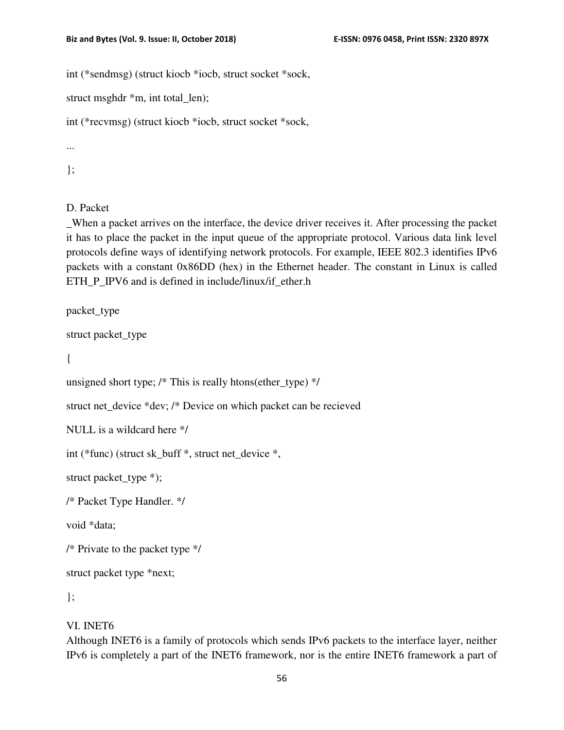int (\*sendmsg) (struct kiocb \*iocb, struct socket \*sock,

struct msghdr \*m, int total\_len);

int (\*recvmsg) (struct kiocb \*iocb, struct socket \*sock,

...

};

D. Packet

\_When a packet arrives on the interface, the device driver receives it. After processing the packet it has to place the packet in the input queue of the appropriate protocol. Various data link level protocols define ways of identifying network protocols. For example, IEEE 802.3 identifies IPv6 packets with a constant 0x86DD (hex) in the Ethernet header. The constant in Linux is called ETH\_P\_IPV6 and is defined in include/linux/if\_ether.h

packet\_type

```
struct packet_type
```
{

```
unsigned short type; /* This is really htons(ether_type) */
```
struct net device \*dev; /\* Device on which packet can be recieved

NULL is a wildcard here \*/

int (\*func) (struct sk\_buff \*, struct net\_device \*,

struct packet\_type \*);

/\* Packet Type Handler. \*/

void \*data;

/\* Private to the packet type \*/

struct packet type \*next;

};

#### VI. INET6

Although INET6 is a family of protocols which sends IPv6 packets to the interface layer, neither IPv6 is completely a part of the INET6 framework, nor is the entire INET6 framework a part of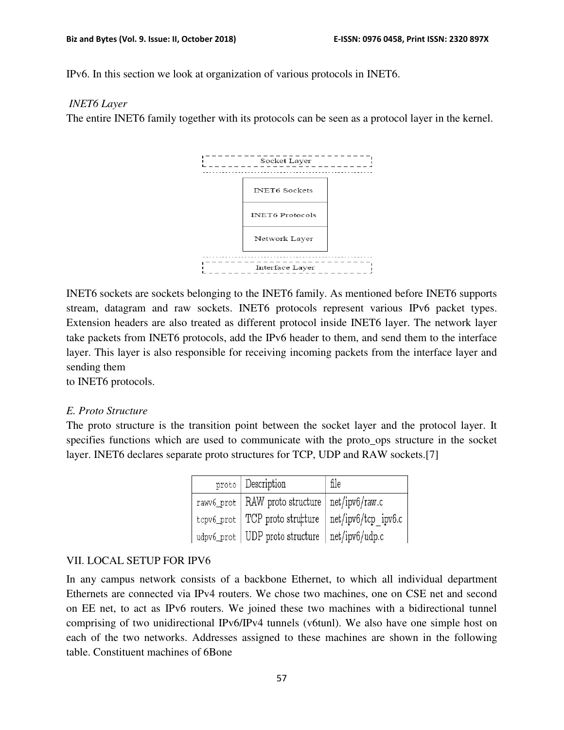IPv6. In this section we look at organization of various protocols in INET6.

#### *INET6 Layer*

The entire INET6 family together with its protocols can be seen as a protocol layer in the kernel.



INET6 sockets are sockets belonging to the INET6 family. As mentioned before INET6 supports stream, datagram and raw sockets. INET6 protocols represent various IPv6 packet types. Extension headers are also treated as different protocol inside INET6 layer. The network layer take packets from INET6 protocols, add the IPv6 header to them, and send them to the interface layer. This layer is also responsible for receiving incoming packets from the interface layer and sending them

to INET6 protocols.

#### *E. Proto Structure*

The proto structure is the transition point between the socket layer and the protocol layer. It specifies functions which are used to communicate with the proto\_ops structure in the socket layer. INET6 declares separate proto structures for TCP, UDP and RAW sockets.[7]

| proto   Description                                    | file |
|--------------------------------------------------------|------|
| rawv6_prot   RAW proto structure   net/ipv6/raw.c      |      |
| tcpv6_prot   TCP proto structure   net/ipv6/tcp ipv6.c |      |
| udpv6_prot   UDP proto structure   net/ipv6/udp.c      |      |

#### VII. LOCAL SETUP FOR IPV6

In any campus network consists of a backbone Ethernet, to which all individual department Ethernets are connected via IPv4 routers. We chose two machines, one on CSE net and second on EE net, to act as IPv6 routers. We joined these two machines with a bidirectional tunnel comprising of two unidirectional IPv6/IPv4 tunnels (v6tunl). We also have one simple host on each of the two networks. Addresses assigned to these machines are shown in the following table. Constituent machines of 6Bone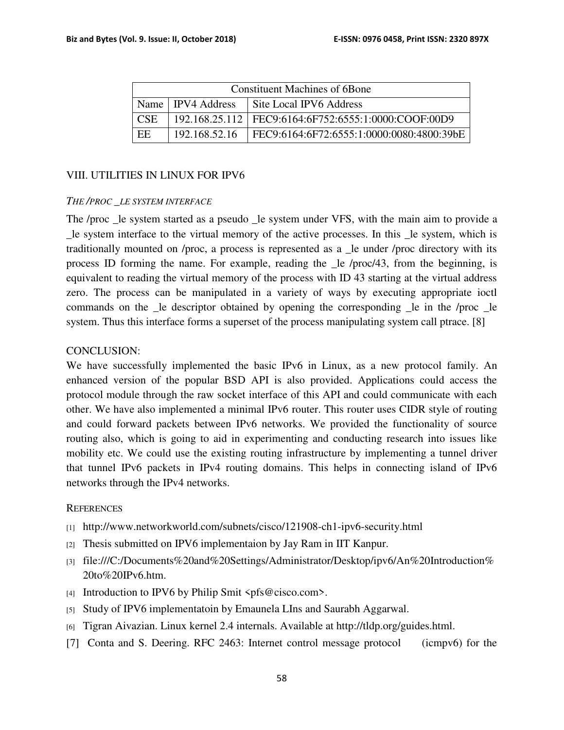| Constituent Machines of 6Bone |                     |                                                           |  |
|-------------------------------|---------------------|-----------------------------------------------------------|--|
|                               | Name   IPV4 Address | Site Local IPV6 Address                                   |  |
| CSE.                          |                     | 192.168.25.112   FEC9:6164:6F752:6555:1:0000:COOF:00D9    |  |
| EE                            |                     | 192.168.52.16   FEC9:6164:6F72:6555:1:0000:0080:4800:39bE |  |

#### VIII. UTILITIES IN LINUX FOR IPV6

#### *THE /PROC \_LE SYSTEM INTERFACE*

The /proc \_le system started as a pseudo \_le system under VFS, with the main aim to provide a \_le system interface to the virtual memory of the active processes. In this \_le system, which is traditionally mounted on /proc, a process is represented as a \_le under /proc directory with its process ID forming the name. For example, reading the \_le /proc/43, from the beginning, is equivalent to reading the virtual memory of the process with ID 43 starting at the virtual address zero. The process can be manipulated in a variety of ways by executing appropriate ioctl commands on the \_le descriptor obtained by opening the corresponding \_le in the /proc \_le system. Thus this interface forms a superset of the process manipulating system call ptrace. [8]

#### CONCLUSION:

We have successfully implemented the basic IPv6 in Linux, as a new protocol family. An enhanced version of the popular BSD API is also provided. Applications could access the protocol module through the raw socket interface of this API and could communicate with each other. We have also implemented a minimal IPv6 router. This router uses CIDR style of routing and could forward packets between IPv6 networks. We provided the functionality of source routing also, which is going to aid in experimenting and conducting research into issues like mobility etc. We could use the existing routing infrastructure by implementing a tunnel driver that tunnel IPv6 packets in IPv4 routing domains. This helps in connecting island of IPv6 networks through the IPv4 networks.

#### **REFERENCES**

- [1] http://www.networkworld.com/subnets/cisco/121908-ch1-ipv6-security.html
- [2] Thesis submitted on IPV6 implementaion by Jay Ram in IIT Kanpur.
- [3] file:///C:/Documents%20and%20Settings/Administrator/Desktop/ipv6/An%20Introduction% 20to%20IPv6.htm.
- [4] Introduction to IPV6 by Philip Smit  $\langle pfs@cisco.com\rangle$ .
- [5] Study of IPV6 implementatoin by Emaunela LIns and Saurabh Aggarwal.
- [6] Tigran Aivazian. Linux kernel 2.4 internals. Available at http://tldp.org/guides.html.
- [7] Conta and S. Deering. RFC 2463: Internet control message protocol (icmpv6) for the